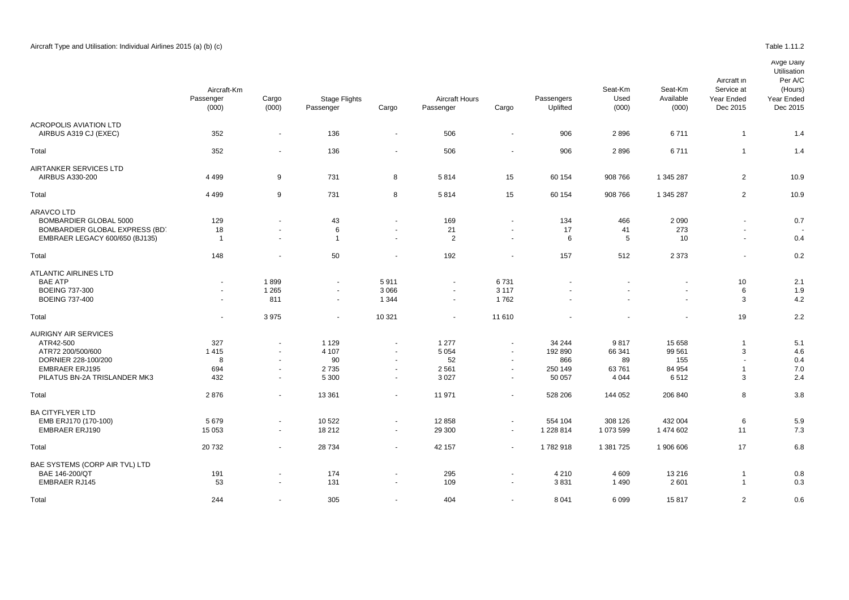## Avge Daily

| Utilisation |  |
|-------------|--|

|                                                        | Aircraft-Km<br>Passenger<br>(000) | Cargo<br>(000)           | <b>Stage Flights</b><br>Passenger | Cargo          | <b>Aircraft Hours</b><br>Passenger | Cargo                    | Passengers<br>Uplifted | Seat-Km<br>Used<br>(000) | Seat-Km<br>Available<br>(000) | Aircraft in<br>Service at<br>Year Ended<br>Dec 2015 | Ullisaliui<br>Per A/C<br>(Hours)<br>Year Ended<br>Dec 2015 |
|--------------------------------------------------------|-----------------------------------|--------------------------|-----------------------------------|----------------|------------------------------------|--------------------------|------------------------|--------------------------|-------------------------------|-----------------------------------------------------|------------------------------------------------------------|
| <b>ACROPOLIS AVIATION LTD</b><br>AIRBUS A319 CJ (EXEC) | 352                               | $\overline{\phantom{a}}$ | 136                               | $\sim$         | 506                                | $\blacksquare$           | 906                    | 2896                     | 6711                          | $\mathbf{1}$                                        | 1.4                                                        |
| Total                                                  | 352                               | $\sim$                   | 136                               | $\blacksquare$ | 506                                | $\blacksquare$           | 906                    | 2896                     | 6711                          | $\mathbf{1}$                                        | 1.4                                                        |
| AIRTANKER SERVICES LTD<br>AIRBUS A330-200              | 4 4 9 9                           | 9                        | 731                               | 8              | 5814                               | 15                       | 60 154                 | 908 766                  | 1 345 287                     | 2                                                   | 10.9                                                       |
| Total                                                  | 4 4 9 9                           | 9                        | 731                               | 8              | 5814                               | 15                       | 60 154                 | 908 766                  | 1 345 287                     | $\overline{2}$                                      | 10.9                                                       |
| ARAVCO LTD                                             |                                   |                          |                                   |                |                                    |                          |                        |                          |                               |                                                     |                                                            |
| BOMBARDIER GLOBAL 5000                                 | 129                               |                          | 43                                | $\sim$         | 169                                | $\sim$                   | 134                    | 466                      | 2 0 9 0                       |                                                     | 0.7                                                        |
| BOMBARDIER GLOBAL EXPRESS (BD)                         | 18                                |                          | 6                                 | $\blacksquare$ | 21                                 | $\blacksquare$           | 17                     | 41                       | 273                           | $\blacksquare$                                      |                                                            |
| EMBRAER LEGACY 600/650 (BJ135)                         | $\overline{1}$                    |                          | $\overline{1}$                    | $\omega$       | 2                                  | $\blacksquare$           | 6                      | 5                        | 10                            | $\sim$                                              | 0.4                                                        |
| Total                                                  | 148                               | $\overline{\phantom{a}}$ | 50                                | $\blacksquare$ | 192                                | $\blacksquare$           | 157                    | 512                      | 2 3 7 3                       | $\sim$                                              | 0.2                                                        |
| <b>ATLANTIC AIRLINES LTD</b>                           |                                   |                          |                                   |                |                                    |                          |                        |                          |                               |                                                     |                                                            |
| <b>BAE ATP</b>                                         | $\sim$                            | 1899                     | ٠                                 | 5911           |                                    | 6731                     |                        |                          |                               | 10                                                  | 2.1                                                        |
| <b>BOEING 737-300</b>                                  | $\overline{\phantom{a}}$          | 1 2 6 5                  | $\blacksquare$                    | 3 0 6 6        | $\overline{\phantom{a}}$           | 3 1 1 7                  |                        |                          |                               | 6                                                   | 1.9                                                        |
| <b>BOEING 737-400</b>                                  | $\sim$                            | 811                      | $\blacksquare$                    | 1 3 4 4        |                                    | 1762                     |                        |                          |                               | 3                                                   | 4.2                                                        |
| Total                                                  | $\sim$                            | 3975                     | $\blacksquare$                    | 10 321         | $\overline{\phantom{a}}$           | 11 610                   |                        |                          | ٠                             | 19                                                  | 2.2                                                        |
| <b>AURIGNY AIR SERVICES</b>                            |                                   |                          |                                   |                |                                    |                          |                        |                          |                               |                                                     |                                                            |
| ATR42-500                                              | 327                               | $\overline{\phantom{a}}$ | 1 1 2 9                           | $\sim$         | 1 2 7 7                            | $\blacksquare$           | 34 244                 | 9817                     | 15 658                        | $\overline{1}$                                      | 5.1                                                        |
| ATR72 200/500/600                                      | 1415                              |                          | 4 107                             | $\sim$         | 5 0 5 4                            | $\blacksquare$           | 192 890                | 66 341                   | 99 561                        | 3                                                   | 4.6                                                        |
| DORNIER 228-100/200                                    | 8                                 |                          | 90                                | $\sim$         | 52                                 | $\overline{\phantom{a}}$ | 866                    | 89                       | 155                           | ÷,                                                  | 0.4                                                        |
| <b>EMBRAER ERJ195</b>                                  | 694                               | $\sim$                   | 2735                              | $\blacksquare$ | 2 5 6 1                            | $\blacksquare$           | 250 149                | 63761                    | 84 954                        | $\mathbf{1}$                                        | 7.0                                                        |
| PILATUS BN-2A TRISLANDER MK3                           | 432                               | $\sim$                   | 5 300                             | $\sim$         | 3 0 2 7                            | $\blacksquare$           | 50 057                 | 4 0 4 4                  | 6512                          | 3                                                   | 2.4                                                        |
| Total                                                  | 2876                              | $\sim$                   | 13 3 61                           | $\blacksquare$ | 11 971                             | $\blacksquare$           | 528 206                | 144 052                  | 206 840                       | 8                                                   | 3.8                                                        |
| <b>BA CITYFLYER LTD</b>                                |                                   |                          |                                   |                |                                    |                          |                        |                          |                               |                                                     |                                                            |
| EMB ERJ170 (170-100)                                   | 5679                              | $\overline{\phantom{a}}$ | 10 522                            | $\blacksquare$ | 12 8 58                            | $\blacksquare$           | 554 104                | 308 126                  | 432 004                       | 6                                                   | 5.9                                                        |
| <b>EMBRAER ERJ190</b>                                  | 15 053                            | $\sim$                   | 18 21 2                           | $\sim$         | 29 300                             | $\overline{\phantom{a}}$ | 1 228 814              | 1 073 599                | 1 474 602                     | 11                                                  | 7.3                                                        |
| Total                                                  | 20732                             | $\sim$                   | 28 7 34                           | $\sim$         | 42 157                             | $\sim$                   | 1782918                | 1 381 725                | 1 906 606                     | 17                                                  | 6.8                                                        |
| BAE SYSTEMS (CORP AIR TVL) LTD                         |                                   |                          |                                   |                |                                    |                          |                        |                          |                               |                                                     |                                                            |
| BAE 146-200/QT                                         | 191                               |                          | 174                               | $\sim$         | 295                                |                          | 4 2 1 0                | 4 6 0 9                  | 13 216                        | $\overline{1}$                                      | 0.8                                                        |
| <b>EMBRAER RJ145</b>                                   | 53                                | $\sim$                   | 131                               | $\sim$         | 109                                | $\sim$                   | 3831                   | 1490                     | 2601                          | $\overline{1}$                                      | 0.3                                                        |
| Total                                                  | 244                               | $\sim$                   | 305                               | $\sim$         | 404                                | ä,                       | 8 0 4 1                | 6099                     | 15817                         | $\overline{2}$                                      | 0.6                                                        |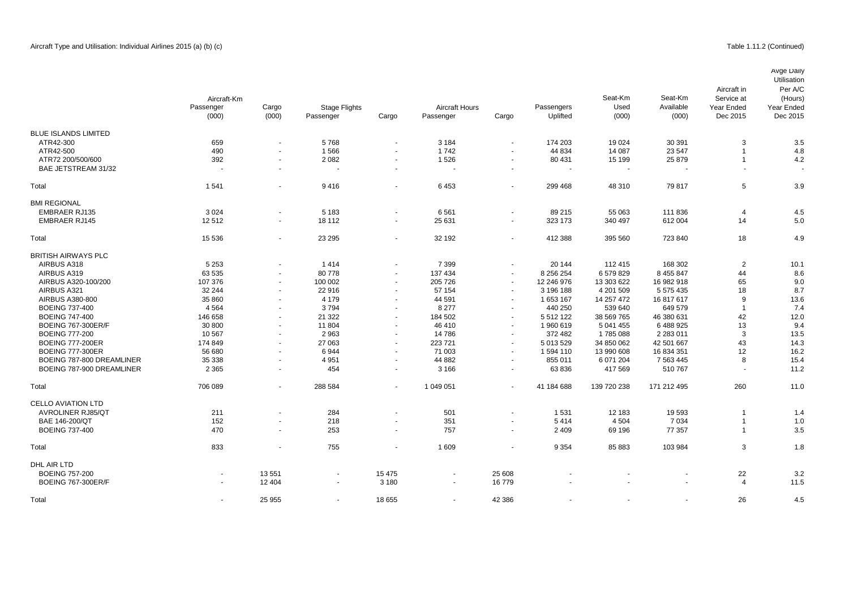BMI REGIONAL<br>EMBRAER RJ135

Avge Daily

# Passenger Cargo Passenger Cargo Dec 2015 Dec 2015 BLUE ISLANDS LIMITED<br>ATR42-300 ATR42-300 659 - 5 768 - 3 184 - 174 203 19 024 30 391 3 3.5 ATR42-500 490 - 1 566 - 1 742 - 44 834 14 087 23 547 1 4.8 4TR72 200/500/600 392 - 2 082 - 1 526 80 431 15 199 25 879 1 4.2 BAE JETSTREAM 31/32 - - - - - - - - - - - Total 1 541 - 9 416 - 6 453 - 299 468 48 310 79 817 5 3.9 embra 1935 - 111 836 - 5 183 - 5 183 - 5 183 - 5 183 - 5 183 - 5 183 - 5 183 - 5 184 5 184 5 185 186 187 1886 1 EMBRAER RJ145 12 512 - 18 112 - 25 631 - 323 173 340 497 612 004 14 5.0 Utilisation Per A/C (Hours) Year Ended<br>Dec 2015 Aircraft in Service at Year Ended<br>Dec 2015 Aircraft-Km Seat-Km Used (000) Seat-Km Available (000) Passenger (000) Cargo (000) Stage Flights **Aircraft Hours** Passengers<br>
Passenger Cargo Passenger Cargo Uplifted Uplifted

| EMBRAER RJ145              | 12512   | $\overline{\phantom{a}}$ | 18112                    | $\sim$         | <b>25 631</b> | $\overline{\phantom{a}}$ | 323 173       | 340 497     | <b>b</b> 12 004 | 14  | 5.U            |
|----------------------------|---------|--------------------------|--------------------------|----------------|---------------|--------------------------|---------------|-------------|-----------------|-----|----------------|
| Total                      | 15 5 36 | $\overline{\phantom{a}}$ | 23 29 5                  | $\sim$         | 32 192        | $\overline{\phantom{a}}$ | 412 388       | 395 560     | 723 840         | 18  | 4.9            |
| <b>BRITISH AIRWAYS PLC</b> |         |                          |                          |                |               |                          |               |             |                 |     |                |
| AIRBUS A318                | 5 2 5 3 | $\sim$                   | 1414                     | $\blacksquare$ | 7 3 9 9       | $\sim$                   | 20 144        | 112 415     | 168 302         | 2   | 10.1           |
| AIRBUS A319                | 63 535  | $\blacksquare$           | 80778                    | $\sim$         | 137 434       | $\sim$                   | 8 256 254     | 6579829     | 8 455 847       | 44  | 8.6            |
| AIRBUS A320-100/200        | 107 376 | $\sim$                   | 100 002                  | $\sim$         | 205 726       | $\sim$                   | 12 246 976    | 13 303 622  | 16 982 918      | 65  | 9 <sub>0</sub> |
| AIRBUS A321                | 32 244  | $\blacksquare$           | 22 916                   | $\sim$         | 57 154        | $\blacksquare$           | 3 196 188     | 4 201 509   | 5 575 435       | 18  | 8.7            |
| AIRBUS A380-800            | 35 860  | $\sim$                   | 4 1 7 9                  | $\sim$         | 44 591        | $\sim$                   | 1 653 167     | 14 257 472  | 16 817 617      | 9   | 13.6           |
| <b>BOEING 737-400</b>      | 4 5 6 4 | $\blacksquare$           | 3794                     | $\sim$         | 8 2 7 7       | $\blacksquare$           | 440 250       | 539 640     | 649 579         |     | 7.4            |
| <b>BOEING 747-400</b>      | 146 658 | $\sim$                   | 21 3 22                  | $\sim$         | 184 502       | $\sim$                   | 5 5 1 2 1 2 2 | 38 569 765  | 46 380 631      | 42  | 12.0           |
| <b>BOEING 767-300ER/F</b>  | 30 800  | $\sim$                   | 11 804                   | $\sim$         | 46 410        | $\sim$                   | 1960619       | 5 041 455   | 6 488 925       | 13  | 9.4            |
| <b>BOEING 777-200</b>      | 10 567  | $\sim$                   | 2963                     | $\sim$         | 14786         | $\overline{\phantom{a}}$ | 372 482       | 1785088     | 2 2 8 3 0 1 1   | 3   | 13.5           |
| <b>BOEING 777-200ER</b>    | 174 849 | $\sim$                   | 27 063                   | $\sim$         | 223 721       | $\sim$                   | 5 013 529     | 34 850 062  | 42 501 667      | 43  | 14.3           |
| <b>BOEING 777-300ER</b>    | 56 680  | $\sim$                   | 6944                     | $\sim$         | 71 003        | $\sim$                   | 1 594 110     | 13 990 608  | 16 834 351      | 12  | 16.2           |
| BOEING 787-800 DREAMLINER  | 35 338  | $\sim$                   | 4 9 5 1                  | $\blacksquare$ | 44 882        | $\sim$                   | 855 011       | 6 071 204   | 7 5 63 4 45     | 8   | 15.4           |
| BOEING 787-900 DREAMLINER  | 2 3 6 5 | $\overline{\phantom{a}}$ | 454                      | $\sim$         | 3 1 6 6       | $\overline{\phantom{a}}$ | 63836         | 417 569     | 510767          |     | 11.2           |
| Total                      | 706 089 | $\sim$                   | 288 584                  | $\sim$         | 1 049 051     | $\overline{\phantom{a}}$ | 41 184 688    | 139 720 238 | 171 212 495     | 260 | 11.0           |
| CELLO AVIATION LTD         |         |                          |                          |                |               |                          |               |             |                 |     |                |
| <b>AVROLINER RJ85/QT</b>   | 211     | $\sim$                   | 284                      | $\sim$         | 501           | $\overline{\phantom{a}}$ | 1531          | 12 183      | 19 593          |     | 1.4            |
| BAE 146-200/QT             | 152     | $\sim$                   | 218                      | $\sim$         | 351           | $\overline{\phantom{a}}$ | 5414          | 4 5 0 4     | 7 0 34          |     | 1.0            |
| <b>BOEING 737-400</b>      | 470     | $\sim$                   | 253                      | $\sim$         | 757           | $\sim$                   | 2 4 0 9       | 69 196      | 77 357          |     | 3.5            |
| Total                      | 833     |                          | 755                      | $\blacksquare$ | 1 609         |                          | 9 3 5 4       | 85 883      | 103 984         | 3   | 1.8            |
| DHL AIR LTD                |         |                          |                          |                |               |                          |               |             |                 |     |                |
| <b>BOEING 757-200</b>      | $\sim$  | 13551                    | $\sim$                   | 15 4 7 5       |               | 25 608                   |               |             |                 | 22  | 3.2            |
| <b>BOEING 767-300ER/F</b>  | $\sim$  | 12 4 04                  | $\overline{\phantom{a}}$ | 3 1 8 0        | $\sim$        | 16779                    |               |             |                 | 4   | 11.5           |
| Total                      |         | 25 955                   |                          | 18 655         |               | 42 386                   |               |             |                 | 26  | 4.5            |
|                            |         |                          |                          |                |               |                          |               |             |                 |     |                |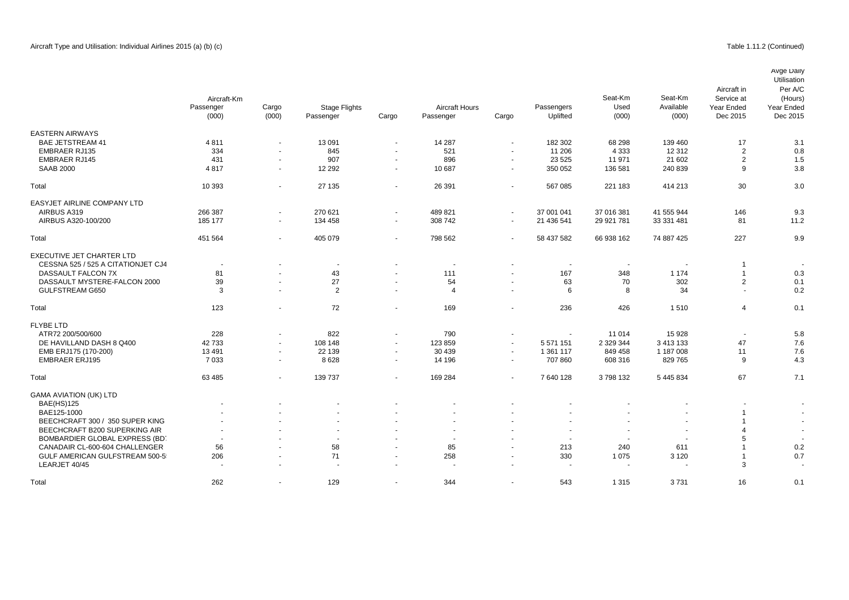Avge Daily

|                                    | Aircraft-Km<br>Passenger<br>(000) | Cargo<br>(000)           | <b>Stage Flights</b><br>Passenger | Cargo            | <b>Aircraft Hours</b><br>Passenger | Cargo                    | Passengers<br>Uplifted | Seat-Km<br>Used<br>(000) | Seat-Km<br>Available<br>(000) | Aircraft in<br>Service at<br>Year Ended<br>Dec 2015 | Utilisation<br>Per A/C<br>(Hours)<br>Year Ended<br>Dec 2015 |
|------------------------------------|-----------------------------------|--------------------------|-----------------------------------|------------------|------------------------------------|--------------------------|------------------------|--------------------------|-------------------------------|-----------------------------------------------------|-------------------------------------------------------------|
| <b>EASTERN AIRWAYS</b>             |                                   |                          |                                   |                  |                                    |                          |                        |                          |                               |                                                     |                                                             |
| <b>BAE JETSTREAM 41</b>            | 4811                              | $\blacksquare$           | 13 091                            | $\sim$           | 14 287                             | $\overline{\phantom{a}}$ | 182 302                | 68 298                   | 139 460                       | 17                                                  | 3.1                                                         |
| <b>EMBRAER RJ135</b>               | 334                               | $\overline{\phantom{a}}$ | 845                               | $\sim$           | 521                                | $\sim$                   | 11 206                 | 4 3 3 3                  | 12 3 12                       | $\overline{2}$                                      | 0.8                                                         |
| <b>EMBRAER RJ145</b>               | 431                               |                          | 907                               |                  | 896                                |                          | 23 5 25                | 11 971                   | 21 602                        | $\overline{2}$                                      | 1.5                                                         |
| <b>SAAB 2000</b>                   | 4817                              | $\blacksquare$<br>$\sim$ | 12 2 9 2                          | $\sim$<br>$\sim$ | 10 687                             | $\sim$                   | 350 052                | 136 581                  | 240 839                       | 9                                                   | 3.8                                                         |
|                                    |                                   |                          |                                   |                  |                                    |                          |                        |                          |                               |                                                     |                                                             |
| Total                              | 10 393                            | $\blacksquare$           | 27 135                            | $\sim$           | 26 391                             | $\overline{\phantom{a}}$ | 567 085                | 221 183                  | 414 213                       | 30                                                  | 3.0                                                         |
| EASYJET AIRLINE COMPANY LTD        |                                   |                          |                                   |                  |                                    |                          |                        |                          |                               |                                                     |                                                             |
| AIRBUS A319                        | 266 387                           | $\blacksquare$           | 270 621                           | $\sim$           | 489 821                            | $\overline{\phantom{a}}$ | 37 001 041             | 37 016 381               | 41 555 944                    | 146                                                 | 9.3                                                         |
| AIRBUS A320-100/200                | 185 177                           | $\blacksquare$           | 134 458                           | $\sim$           | 308 742                            | $\overline{\phantom{a}}$ | 21 436 541             | 29 921 781               | 33 331 481                    | 81                                                  | 11.2                                                        |
| Total                              | 451 564                           | $\blacksquare$           | 405 079                           | $\sim$           | 798 562                            | $\overline{\phantom{a}}$ | 58 437 582             | 66 938 162               | 74 887 425                    | 227                                                 | 9.9                                                         |
| EXECUTIVE JET CHARTER LTD          |                                   |                          |                                   |                  |                                    |                          |                        |                          |                               |                                                     |                                                             |
| CESSNA 525 / 525 A CITATIONJET CJ4 |                                   |                          | $\overline{\phantom{a}}$          |                  |                                    |                          |                        |                          |                               | 1                                                   |                                                             |
| DASSAULT FALCON 7X                 | 81                                | $\blacksquare$           | 43                                | $\sim$           | 111                                |                          | 167                    | 348                      | 1 1 7 4                       | $\overline{1}$                                      | 0.3                                                         |
| DASSAULT MYSTERE-FALCON 2000       | 39                                | $\blacksquare$           | 27                                | $\blacksquare$   | 54                                 |                          | 63                     | 70                       | 302                           | $\overline{2}$                                      | 0.1                                                         |
| GULFSTREAM G650                    | 3                                 | $\sim$                   | $\overline{2}$                    | $\sim$           | $\overline{4}$                     | $\sim$                   | 6                      | 8                        | 34                            | $\sim$                                              | 0.2                                                         |
| Total                              | 123                               | $\overline{a}$           | 72                                | $\sim$           | 169                                |                          | 236                    | 426                      | 1510                          | 4                                                   | 0.1                                                         |
| <b>FLYBE LTD</b>                   |                                   |                          |                                   |                  |                                    |                          |                        |                          |                               |                                                     |                                                             |
| ATR72 200/500/600                  | 228                               | $\blacksquare$           | 822                               | $\sim$           | 790                                | $\overline{\phantom{a}}$ | ÷,                     | 11 0 14                  | 15 9 28                       | $\sim$                                              | 5.8                                                         |
| DE HAVILLAND DASH 8 Q400           | 42733                             | $\blacksquare$           | 108 148                           | $\sim$           | 123 859                            | $\overline{\phantom{a}}$ | 5 571 151              | 2 3 2 3 3 4 4            | 3 413 133                     | 47                                                  | 7.6                                                         |
| EMB ERJ175 (170-200)               | 13 4 91                           | $\blacksquare$           | 22 139                            | $\sim$           | 30 439                             | $\sim$                   | 1 361 117              | 849 458                  | 1 187 008                     | 11                                                  | 7.6                                                         |
| <b>EMBRAER ERJ195</b>              | 7 0 3 3                           | $\sim$                   | 8628                              | $\sim$           | 14 196                             | $\overline{\phantom{a}}$ | 707 860                | 608 316                  | 829 765                       | 9                                                   | 4.3                                                         |
| Total                              | 63 485                            | $\sim$                   | 139 737                           | $\sim$           | 169 284                            | $\sim$                   | 7 640 128              | 3798132                  | 5 445 834                     | 67                                                  | 7.1                                                         |
| <b>GAMA AVIATION (UK) LTD</b>      |                                   |                          |                                   |                  |                                    |                          |                        |                          |                               |                                                     |                                                             |
| <b>BAE(HS)125</b>                  |                                   |                          |                                   |                  |                                    |                          |                        |                          |                               |                                                     |                                                             |
| BAE125-1000                        |                                   |                          |                                   |                  |                                    |                          |                        |                          |                               | -1                                                  |                                                             |
| BEECHCRAFT 300 / 350 SUPER KING    |                                   |                          |                                   |                  |                                    |                          |                        |                          |                               | -1                                                  |                                                             |
| BEECHCRAFT B200 SUPERKING AIR      | $\sim$                            |                          |                                   |                  |                                    |                          |                        |                          | $\blacksquare$                | 4                                                   |                                                             |
| BOMBARDIER GLOBAL EXPRESS (BD)     |                                   |                          | $\sim$                            |                  | $\ddot{\phantom{1}}$               |                          |                        |                          | $\ddot{\phantom{1}}$          | 5                                                   |                                                             |
| CANADAIR CL-600-604 CHALLENGER     | 56                                | $\blacksquare$           | 58                                | $\sim$           | 85                                 |                          | 213                    | 240                      | 611                           |                                                     | 0.2                                                         |
| GULF AMERICAN GULFSTREAM 500-5     | 206                               |                          | 71                                | $\sim$           | 258                                |                          | 330                    | 1 0 7 5                  | 3 1 2 0                       | -1                                                  | 0.7                                                         |
| LEARJET 40/45                      |                                   | $\blacksquare$           | $\overline{\phantom{a}}$          | $\sim$           |                                    |                          | $\sim$                 |                          |                               | 3                                                   |                                                             |
| Total                              | 262                               | $\blacksquare$           | 129                               | $\sim$           | 344                                |                          | 543                    | 1 3 1 5                  | 3731                          | 16                                                  | 0.1                                                         |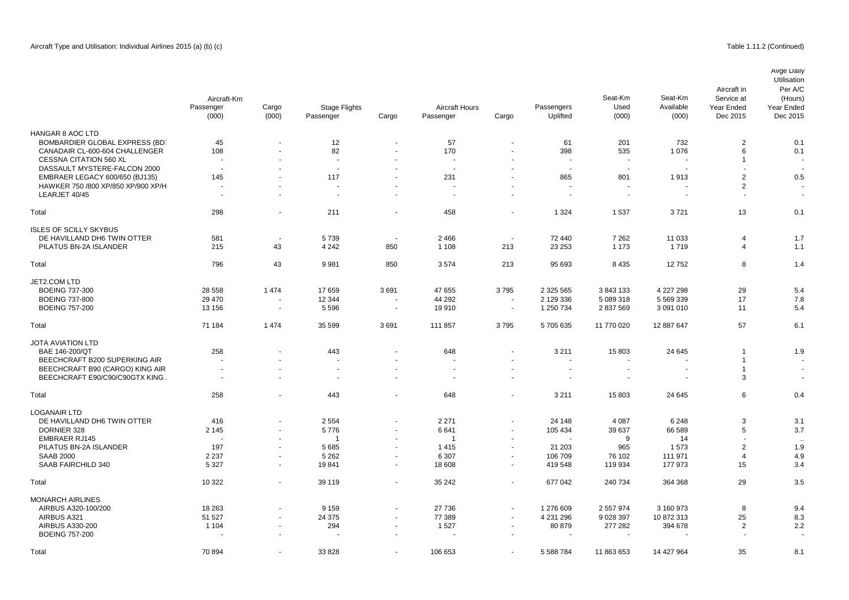|                                    | Aircraft-Km<br>Passenger<br>(000) | Cargo<br>(000)           | <b>Stage Flights</b><br>Passenger | Cargo  | <b>Aircraft Hours</b><br>Passenger | Cargo                    | Passengers<br>Uplifted   | Seat-Km<br>Used<br>(000) | Seat-Km<br>Available<br>(000) | Aircraft in<br>Service at<br>Year Ended<br>Dec 2015 | Avge Daily<br>Utilisation<br>Per A/C<br>(Hours)<br>Year Ended<br>Dec 2015 |
|------------------------------------|-----------------------------------|--------------------------|-----------------------------------|--------|------------------------------------|--------------------------|--------------------------|--------------------------|-------------------------------|-----------------------------------------------------|---------------------------------------------------------------------------|
| HANGAR 8 AOC LTD                   |                                   |                          |                                   |        |                                    |                          |                          |                          |                               |                                                     |                                                                           |
| BOMBARDIER GLOBAL EXPRESS (BD)     | 45                                |                          | 12                                |        | 57                                 |                          | 61                       | 201                      | 732                           | $\overline{2}$                                      | 0.1                                                                       |
| CANADAIR CL-600-604 CHALLENGER     | 108                               |                          | 82                                |        | 170                                | $\ddot{\phantom{1}}$     | 398                      | 535                      | 1076                          | 6                                                   | 0.1                                                                       |
| <b>CESSNA CITATION 560 XL</b>      |                                   | $\blacksquare$           | ÷.                                |        |                                    | $\ddot{\phantom{1}}$     | $\overline{\phantom{a}}$ | $\overline{\phantom{a}}$ | $\blacksquare$                | $\overline{1}$                                      |                                                                           |
| DASSAULT MYSTERE-FALCON 2000       | $\sim$                            |                          |                                   |        |                                    |                          | ÷.                       | $\sim$                   |                               |                                                     |                                                                           |
| EMBRAER LEGACY 600/650 (BJ135)     | 145                               |                          | 117                               |        | 231                                |                          | 865                      | 801                      | 1913                          | $\overline{2}$                                      | 0.5                                                                       |
| HAWKER 750 /800 XP/850 XP/900 XP/H |                                   | $\ddot{\phantom{1}}$     |                                   |        |                                    | $\ddot{\phantom{1}}$     |                          |                          |                               | $\overline{2}$                                      |                                                                           |
| LEARJET 40/45                      | $\sim$                            | ä,                       | ÷.                                | $\sim$ | $\sim$                             | ä,                       | $\tilde{\phantom{a}}$    | $\sim$                   | $\overline{\phantom{a}}$      | $\overline{\phantom{a}}$                            | $\sim$                                                                    |
| Total                              | 298                               | $\overline{\phantom{a}}$ | 211                               | $\sim$ | 458                                | $\blacksquare$           | 1 3 2 4                  | 1537                     | 3721                          | 13                                                  | 0.1                                                                       |
| <b>ISLES OF SCILLY SKYBUS</b>      |                                   |                          |                                   |        |                                    |                          |                          |                          |                               |                                                     |                                                                           |
| DE HAVILLAND DH6 TWIN OTTER        | 581                               | $\overline{\phantom{a}}$ | 5739                              | $\sim$ | 2 4 6 6                            | $\blacksquare$           | 72 440                   | 7 2 6 2                  | 11 033                        | $\overline{4}$                                      | 1.7                                                                       |
| PILATUS BN-2A ISLANDER             | 215                               | 43                       | 4 2 4 2                           | 850    | 1 1 0 8                            | 213                      | 23 25 3                  | 1 1 7 3                  | 1719                          | $\overline{4}$                                      | 1.1                                                                       |
| Total                              | 796                               | 43                       | 9981                              | 850    | 3574                               | 213                      | 95 693                   | 8 4 3 5                  | 12752                         | 8                                                   | 1.4                                                                       |
| JET2.COM LTD                       |                                   |                          |                                   |        |                                    |                          |                          |                          |                               |                                                     |                                                                           |
| <b>BOEING 737-300</b>              | 28 5 58                           | 1 4 7 4                  | 17659                             | 3691   | 47 655                             | 3795                     | 2 325 565                | 3843133                  | 4 227 298                     | 29                                                  | 5.4                                                                       |
| <b>BOEING 737-800</b>              | 29 470                            | $\overline{\phantom{a}}$ | 12 3 44                           | $\sim$ | 44 292                             | $\blacksquare$           | 2 129 336                | 5 089 318                | 5 569 339                     | 17                                                  | 7.8                                                                       |
| <b>BOEING 757-200</b>              | 13 156                            | $\overline{\phantom{a}}$ | 5 5 9 6                           | $\sim$ | 19910                              | $\sim$                   | 1 250 734                | 2 837 569                | 3 091 010                     | 11                                                  | 5.4                                                                       |
| Total                              | 71 184                            | 1 4 7 4                  | 35 599                            | 3691   | 111 857                            | 3795                     | 5705635                  | 11 770 020               | 12 887 647                    | 57                                                  | 6.1                                                                       |
| <b>JOTA AVIATION LTD</b>           |                                   |                          |                                   |        |                                    |                          |                          |                          |                               |                                                     |                                                                           |
| BAE 146-200/QT                     | 258                               |                          | 443                               |        | 648                                | ä,                       | 3 2 1 1                  | 15 803                   | 24 645                        | $\overline{1}$                                      | 1.9                                                                       |
| BEECHCRAFT B200 SUPERKING AIR      |                                   |                          | $\overline{a}$                    |        |                                    |                          |                          |                          |                               | $\overline{1}$                                      |                                                                           |
| BEECHCRAFT B90 (CARGO) KING AIR    | $\sim$                            | $\blacksquare$           | $\overline{\phantom{a}}$          |        | $\blacksquare$                     | $\blacksquare$           | $\overline{\phantom{a}}$ |                          | $\blacksquare$                | $\overline{1}$                                      |                                                                           |
| BEECHCRAFT E90/C90/C90GTX KING     | $\sim$                            | ÷,                       |                                   | $\sim$ | $\sim$                             | ä,                       | ÷                        |                          | ÷,                            | 3                                                   | $\sim$                                                                    |
| Total                              | 258                               | ÷,                       | 443                               | $\sim$ | 648                                | ÷,                       | 3 2 1 1                  | 15 803                   | 24 645                        | 6                                                   | 0.4                                                                       |
| <b>LOGANAIR LTD</b>                |                                   |                          |                                   |        |                                    |                          |                          |                          |                               |                                                     |                                                                           |
| DE HAVILLAND DH6 TWIN OTTER        | 416                               | $\overline{a}$           | 2 5 5 4                           |        | 2 2 7 1                            | ÷,                       | 24 148                   | 4 0 8 7                  | 6 2 4 8                       | 3                                                   | 3.1                                                                       |
| DORNIER 328                        | 2 1 4 5                           | $\blacksquare$           | 5776                              |        | 6641                               | $\overline{\phantom{a}}$ | 105 434                  | 39 637                   | 66 589                        | $\sqrt{5}$                                          | 3.7                                                                       |
| <b>EMBRAER RJ145</b>               |                                   | $\blacksquare$           | $\overline{1}$                    |        | $\overline{1}$                     | $\ddot{\phantom{1}}$     |                          | 9                        | 14                            | $\sim$                                              |                                                                           |
| PILATUS BN-2A ISLANDER             | 197                               | $\blacksquare$           | 5685                              | $\sim$ | 1415                               | $\blacksquare$           | 21 203                   | 965                      | 1573                          | $\overline{2}$                                      | 1.9                                                                       |
| <b>SAAB 2000</b>                   | 2 2 3 7                           | $\sim$                   | 5 2 6 2                           |        | 6 3 0 7                            | ä,                       | 106 709                  | 76 102                   | 111 971                       | $\overline{4}$                                      | 4.9                                                                       |
| SAAB FAIRCHILD 340                 | 5 3 2 7                           | $\blacksquare$           | 19841                             | $\sim$ | 18 608                             | ä,                       | 419 548                  | 119 934                  | 177 973                       | 15                                                  | 3.4                                                                       |
| Total                              | 10 322                            | $\overline{a}$           | 39 119                            | $\sim$ | 35 24 2                            | $\blacksquare$           | 677 042                  | 240 734                  | 364 368                       | 29                                                  | 3.5                                                                       |
| <b>MONARCH AIRLINES</b>            |                                   |                          |                                   |        |                                    |                          |                          |                          |                               |                                                     |                                                                           |
| AIRBUS A320-100/200                | 18 263                            |                          | 9 1 5 9                           |        | 27 736                             | $\sim$                   | 1 276 609                | 2 557 974                | 3 160 973                     | 8                                                   | 9.4                                                                       |
| AIRBUS A321                        | 51 527                            | $\blacksquare$           | 24 375                            |        | 77 389                             | $\blacksquare$           | 4 231 296                | 9 0 28 3 9 7             | 10 872 313                    | 25                                                  | 8.3                                                                       |
| <b>AIRBUS A330-200</b>             | 1 1 0 4                           | ÷,                       | 294                               |        | 1527                               | ÷,                       | 80 879                   | 277 282                  | 394 678                       | $\overline{2}$                                      | 2.2                                                                       |
| <b>BOEING 757-200</b>              |                                   |                          |                                   |        |                                    |                          |                          |                          |                               |                                                     |                                                                           |
| Total                              | 70 894                            |                          | 33 828                            |        | 106 653                            | ÷.                       | 5 588 784                | 11 863 653               | 14 427 964                    | 35                                                  | 8.1                                                                       |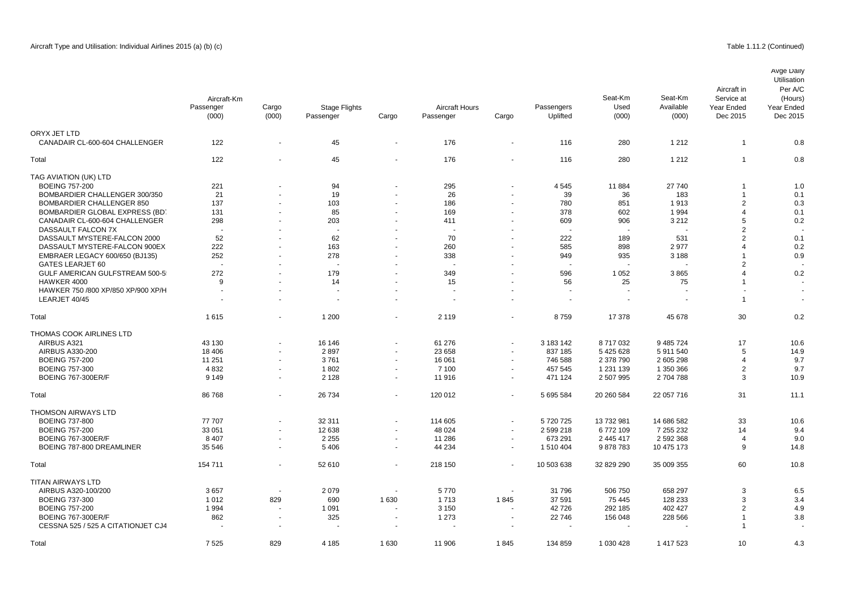|                                    | Aircraft-Km<br>Passenger<br>(000) | Cargo<br>(000)           | <b>Stage Flights</b><br>Passenger | Cargo                    | <b>Aircraft Hours</b><br>Passenger | Cargo                    | Passengers<br>Uplifted | Seat-Km<br>Used<br>(000) | Seat-Km<br>Available<br>(000) | Aircraft in<br>Service at<br>Year Ended<br>Dec 2015 | Avge Daily<br>Utilisation<br>Per A/C<br>(Hours)<br>Year Ended<br>Dec 2015 |
|------------------------------------|-----------------------------------|--------------------------|-----------------------------------|--------------------------|------------------------------------|--------------------------|------------------------|--------------------------|-------------------------------|-----------------------------------------------------|---------------------------------------------------------------------------|
| ORYX JET LTD                       |                                   |                          |                                   |                          |                                    |                          |                        |                          |                               |                                                     |                                                                           |
| CANADAIR CL-600-604 CHALLENGER     | 122                               | $\blacksquare$           | 45                                | $\blacksquare$           | 176                                | $\overline{\phantom{a}}$ | 116                    | 280                      | 1 2 1 2                       | $\overline{1}$                                      | 0.8                                                                       |
| Total                              | 122                               | $\overline{\phantom{a}}$ | 45                                | $\sim$                   | 176                                | $\overline{\phantom{a}}$ | 116                    | 280                      | 1 2 1 2                       | $\overline{1}$                                      | 0.8                                                                       |
| TAG AVIATION (UK) LTD              |                                   |                          |                                   |                          |                                    |                          |                        |                          |                               |                                                     |                                                                           |
| <b>BOEING 757-200</b>              | 221                               |                          | 94                                | $\overline{\phantom{a}}$ | 295                                |                          | 4545                   | 11884                    | 27 740                        |                                                     | 1.0                                                                       |
| BOMBARDIER CHALLENGER 300/350      | 21                                | $\blacksquare$           | 19                                | $\blacksquare$           | 26                                 |                          | 39                     | 36                       | 183                           | $\overline{1}$                                      | 0.1                                                                       |
| <b>BOMBARDIER CHALLENGER 850</b>   | 137                               | $\ddot{\phantom{1}}$     | 103                               | $\blacksquare$           | 186                                |                          | 780                    | 851                      | 1913                          | $\overline{2}$                                      | 0.3                                                                       |
| BOMBARDIER GLOBAL EXPRESS (BD)     | 131                               | $\blacksquare$           | 85                                | $\blacksquare$           | 169                                |                          | 378                    | 602                      | 1994                          | $\overline{\mathbf{4}}$                             | 0.1                                                                       |
| CANADAIR CL-600-604 CHALLENGER     | 298                               | $\blacksquare$           | 203                               | $\blacksquare$           | 411                                | $\sim$                   | 609                    | 906                      | 3 2 1 2                       | 5                                                   | 0.2                                                                       |
| DASSAULT FALCON 7X                 |                                   |                          |                                   | ä,                       | $\overline{a}$                     |                          | ä,                     |                          |                               | $\overline{2}$                                      |                                                                           |
| DASSAULT MYSTERE-FALCON 2000       | 52                                | $\overline{a}$           | 62                                | $\blacksquare$           | 70                                 |                          | 222                    | 189                      | 531                           | $\overline{2}$                                      | 0.1                                                                       |
| DASSAULT MYSTERE-FALCON 900EX      | 222                               |                          | 163                               | ä,                       | 260                                |                          | 585                    | 898                      | 2977                          | $\overline{4}$                                      | 0.2                                                                       |
| EMBRAER LEGACY 600/650 (BJ135)     | 252                               | $\blacksquare$           | 278                               | $\blacksquare$           | 338                                |                          | 949                    | 935                      | 3 1 8 8                       |                                                     | 0.9                                                                       |
| GATES LEARJET 60                   |                                   |                          |                                   |                          |                                    |                          |                        |                          |                               | $\overline{2}$                                      |                                                                           |
| GULF AMERICAN GULFSTREAM 500-5     | 272                               | $\blacksquare$           | 179                               | $\sim$                   | 349                                |                          | 596                    | 1 0 5 2                  | 3865                          |                                                     | 0.2                                                                       |
|                                    |                                   |                          |                                   | ä,                       |                                    |                          |                        |                          |                               |                                                     |                                                                           |
| HAWKER 4000                        | 9                                 |                          | 14                                |                          | 15                                 |                          | 56                     | 25                       | 75                            |                                                     |                                                                           |
| HAWKER 750 /800 XP/850 XP/900 XP/H | $\sim$                            | $\blacksquare$           | $\sim$                            | $\blacksquare$           | ÷                                  |                          | $\sim$                 | $\overline{\phantom{a}}$ |                               |                                                     |                                                                           |
| LEARJET 40/45                      |                                   | $\blacksquare$           | $\overline{\phantom{a}}$          | $\sim$                   | $\overline{\phantom{a}}$           |                          | ä,                     |                          | $\blacksquare$                | $\overline{1}$                                      |                                                                           |
| Total                              | 1615                              | $\blacksquare$           | 1 200                             | $\sim$                   | 2 1 1 9                            |                          | 8759                   | 17 378                   | 45 678                        | 30                                                  | 0.2                                                                       |
| THOMAS COOK AIRLINES LTD           |                                   |                          |                                   |                          |                                    |                          |                        |                          |                               |                                                     |                                                                           |
| AIRBUS A321                        | 43 130                            | $\overline{a}$           | 16 146                            | $\blacksquare$           | 61 276                             | $\overline{\phantom{a}}$ | 3 183 142              | 8717032                  | 9 485 724                     | 17                                                  | 10.6                                                                      |
| AIRBUS A330-200                    | 18 40 6                           | $\blacksquare$           | 2897                              | $\blacksquare$           | 23 658                             |                          | 837 185                | 5 425 628                | 5911540                       | 5                                                   | 14.9                                                                      |
| <b>BOEING 757-200</b>              | 11 251                            | $\overline{\phantom{a}}$ | 3761                              | $\sim$                   | 16 061                             | $\sim$                   | 746 588                | 2 378 790                | 2 605 298                     | $\overline{4}$                                      | 9.7                                                                       |
| <b>BOEING 757-300</b>              | 4 8 3 2                           | $\blacksquare$           | 1802                              | $\overline{\phantom{a}}$ | 7 100                              |                          | 457 545                | 1 231 139                | 1 350 366                     | $\overline{2}$                                      | 9.7                                                                       |
| <b>BOEING 767-300ER/F</b>          | 9 1 4 9                           | $\blacksquare$           | 2 1 2 8                           | $\blacksquare$           | 11 916                             | $\sim$                   | 471 124                | 2 507 995                | 2704788                       | 3                                                   | 10.9                                                                      |
| Total                              | 86768                             | ÷,                       | 26 734                            | $\blacksquare$           | 120 012                            |                          | 5 695 584              | 20 260 584               | 22 057 716                    | 31                                                  | 11.1                                                                      |
| <b>THOMSON AIRWAYS LTD</b>         |                                   |                          |                                   |                          |                                    |                          |                        |                          |                               |                                                     |                                                                           |
| <b>BOEING 737-800</b>              | 77 707                            |                          | 32 311                            | $\sim$                   | 114 605                            |                          | 5720725                | 13 732 981               | 14 686 582                    | 33                                                  | 10.6                                                                      |
| <b>BOEING 757-200</b>              | 33 051                            | $\sim$                   | 12 638                            | $\sim$                   | 48 0 24                            | $\sim$                   | 2 599 218              | 6772109                  | 7 255 232                     | 14                                                  | 9.4                                                                       |
| <b>BOEING 767-300ER/F</b>          | 8 4 0 7                           | ä,                       | 2 2 5 5                           | $\blacksquare$           | 11 286                             | $\sim$                   | 673 291                | 2 445 417                | 2 592 368                     | $\overline{4}$                                      | 9.0                                                                       |
| BOEING 787-800 DREAMLINER          | 35 546                            | $\overline{\phantom{a}}$ | 5406                              | $\overline{\phantom{a}}$ | 44 234                             | $\sim$                   | 1 510 404              | 9878783                  | 10 475 173                    | 9                                                   | 14.8                                                                      |
| Total                              | 154 711                           | $\sim$                   | 52 610                            | $\sim$                   | 218 150                            |                          | 10 503 638             | 32 829 290               | 35 009 355                    | 60                                                  | 10.8                                                                      |
| <b>TITAN AIRWAYS LTD</b>           |                                   |                          |                                   |                          |                                    |                          |                        |                          |                               |                                                     |                                                                           |
| AIRBUS A320-100/200                | 3657                              | $\blacksquare$           | 2079                              | $\sim$                   | 5770                               |                          | 31 796                 | 506 750                  | 658 297                       | 3                                                   | 6.5                                                                       |

BOEING 737-300 1 012 829 690 1 630 1 713 1 845 37 591 75 445 128 233 3 3.4 BOEING 757-200 1 994 - 1 091 - 3 150 42 726 292 185 402 427 2 4.9 BOEING 767-300ER/F 862 - 325 - 1 273 22 746 156 048 228 566 1 3.8 CESSNA 525 / 525 A CITATIONJET CJ4 and the state of the state of the state of the state of the state of the state of the state of the state of the state of the state of the state of the state of the state of the state of t Total 7 525 829 4 185 1 630 11 906 1 845 134 859 1 030 428 1 417 523 10 4.3